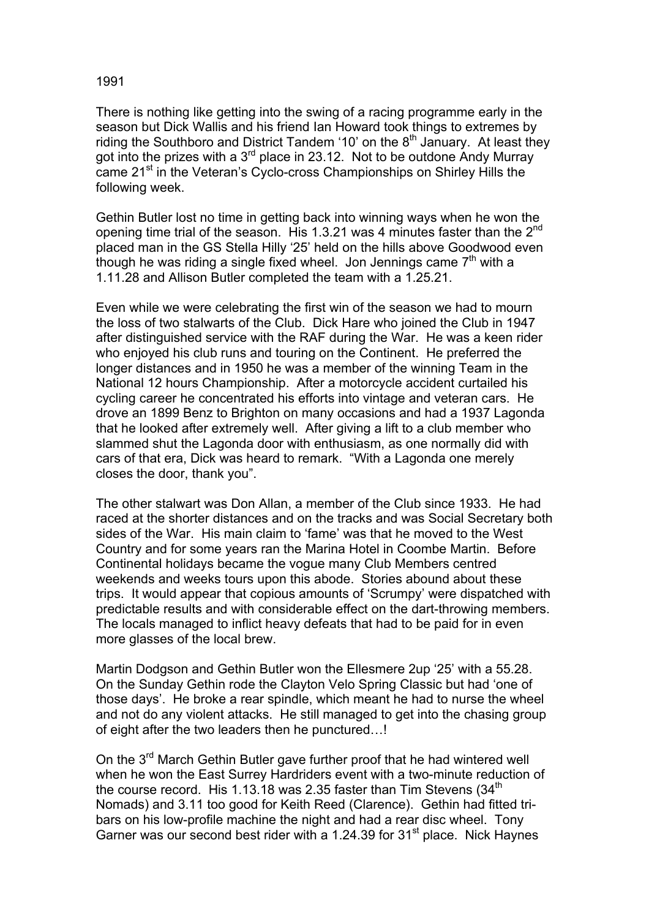## 1991

There is nothing like getting into the swing of a racing programme early in the season but Dick Wallis and his friend Ian Howard took things to extremes by riding the Southboro and District Tandem '10' on the  $8<sup>th</sup>$  January. At least they got into the prizes with a  $3^{rd}$  place in 23.12. Not to be outdone Andy Murray came 21<sup>st</sup> in the Veteran's Cyclo-cross Championships on Shirley Hills the following week.

Gethin Butler lost no time in getting back into winning ways when he won the opening time trial of the season. His 1.3.21 was 4 minutes faster than the  $2^{nd}$ placed man in the GS Stella Hilly '25' held on the hills above Goodwood even though he was riding a single fixed wheel. Jon Jennings came  $7<sup>th</sup>$  with a 1.11.28 and Allison Butler completed the team with a 1.25.21.

Even while we were celebrating the first win of the season we had to mourn the loss of two stalwarts of the Club. Dick Hare who joined the Club in 1947 after distinguished service with the RAF during the War. He was a keen rider who enjoyed his club runs and touring on the Continent. He preferred the longer distances and in 1950 he was a member of the winning Team in the National 12 hours Championship. After a motorcycle accident curtailed his cycling career he concentrated his efforts into vintage and veteran cars. He drove an 1899 Benz to Brighton on many occasions and had a 1937 Lagonda that he looked after extremely well. After giving a lift to a club member who slammed shut the Lagonda door with enthusiasm, as one normally did with cars of that era, Dick was heard to remark. "With a Lagonda one merely closes the door, thank you".

The other stalwart was Don Allan, a member of the Club since 1933. He had raced at the shorter distances and on the tracks and was Social Secretary both sides of the War. His main claim to 'fame' was that he moved to the West Country and for some years ran the Marina Hotel in Coombe Martin. Before Continental holidays became the vogue many Club Members centred weekends and weeks tours upon this abode. Stories abound about these trips. It would appear that copious amounts of 'Scrumpy' were dispatched with predictable results and with considerable effect on the dart-throwing members. The locals managed to inflict heavy defeats that had to be paid for in even more glasses of the local brew.

Martin Dodgson and Gethin Butler won the Ellesmere 2up '25' with a 55.28. On the Sunday Gethin rode the Clayton Velo Spring Classic but had 'one of those days'. He broke a rear spindle, which meant he had to nurse the wheel and not do any violent attacks. He still managed to get into the chasing group of eight after the two leaders then he punctured…!

On the 3<sup>rd</sup> March Gethin Butler gave further proof that he had wintered well when he won the East Surrey Hardriders event with a two-minute reduction of the course record. His 1.13.18 was 2.35 faster than Tim Stevens  $(34<sup>th</sup>$ Nomads) and 3.11 too good for Keith Reed (Clarence). Gethin had fitted tribars on his low-profile machine the night and had a rear disc wheel. Tony Garner was our second best rider with a 1.24.39 for 31<sup>st</sup> place. Nick Haynes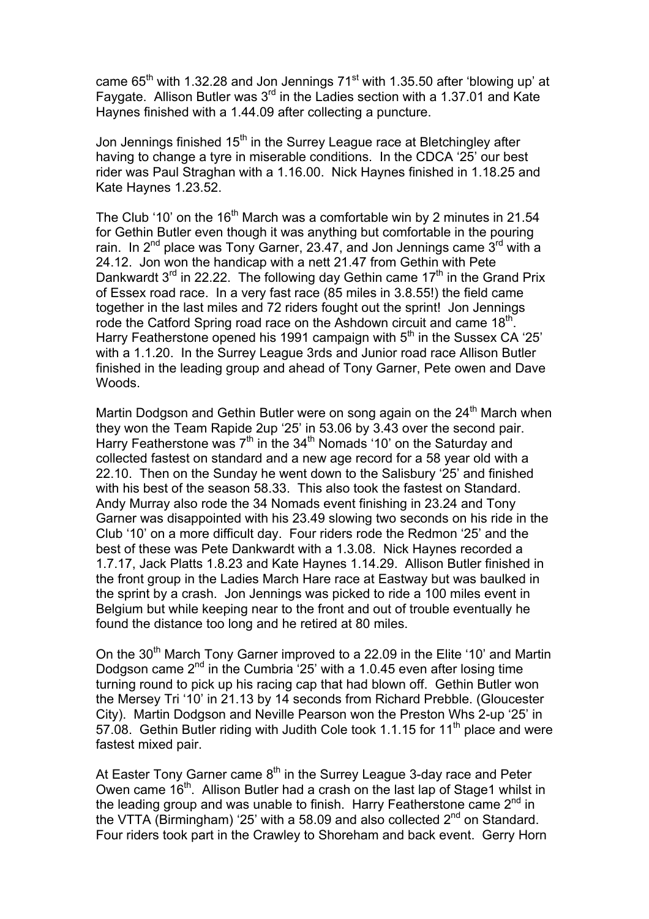came  $65<sup>th</sup>$  with 1.32.28 and Jon Jennings 71 $<sup>st</sup>$  with 1.35.50 after 'blowing up' at</sup> Faygate. Allison Butler was 3<sup>rd</sup> in the Ladies section with a 1.37.01 and Kate Haynes finished with a 1.44.09 after collecting a puncture.

Jon Jennings finished 15<sup>th</sup> in the Surrey League race at Bletchingley after having to change a tyre in miserable conditions. In the CDCA '25' our best rider was Paul Straghan with a 1.16.00. Nick Haynes finished in 1.18.25 and Kate Haynes 1.23.52.

The Club '10' on the 16<sup>th</sup> March was a comfortable win by 2 minutes in 21.54 for Gethin Butler even though it was anything but comfortable in the pouring rain. In  $2^{nd}$  place was Tony Garner, 23.47, and Jon Jennings came  $3^{rd}$  with a 24.12. Jon won the handicap with a nett 21.47 from Gethin with Pete Dankwardt  $3^{rd}$  in 22.22. The following day Gethin came 17<sup>th</sup> in the Grand Prix of Essex road race. In a very fast race (85 miles in 3.8.55!) the field came together in the last miles and 72 riders fought out the sprint! Jon Jennings rode the Catford Spring road race on the Ashdown circuit and came 18<sup>th</sup>. Harry Featherstone opened his 1991 campaign with  $5<sup>th</sup>$  in the Sussex CA '25' with a 1.1.20. In the Surrey League 3rds and Junior road race Allison Butler finished in the leading group and ahead of Tony Garner, Pete owen and Dave Woods.

Martin Dodgson and Gethin Butler were on song again on the  $24<sup>th</sup>$  March when they won the Team Rapide 2up '25' in 53.06 by 3.43 over the second pair. Harry Featherstone was  $7<sup>th</sup>$  in the 34<sup>th</sup> Nomads '10' on the Saturday and collected fastest on standard and a new age record for a 58 year old with a 22.10. Then on the Sunday he went down to the Salisbury '25' and finished with his best of the season 58.33. This also took the fastest on Standard. Andy Murray also rode the 34 Nomads event finishing in 23.24 and Tony Garner was disappointed with his 23.49 slowing two seconds on his ride in the Club '10' on a more difficult day. Four riders rode the Redmon '25' and the best of these was Pete Dankwardt with a 1.3.08. Nick Haynes recorded a 1.7.17, Jack Platts 1.8.23 and Kate Haynes 1.14.29. Allison Butler finished in the front group in the Ladies March Hare race at Eastway but was baulked in the sprint by a crash. Jon Jennings was picked to ride a 100 miles event in Belgium but while keeping near to the front and out of trouble eventually he found the distance too long and he retired at 80 miles.

On the 30<sup>th</sup> March Tony Garner improved to a 22.09 in the Elite '10' and Martin Dodgson came  $2^{nd}$  in the Cumbria  $25'$  with a 1.0.45 even after losing time turning round to pick up his racing cap that had blown off. Gethin Butler won the Mersey Tri '10' in 21.13 by 14 seconds from Richard Prebble. (Gloucester City). Martin Dodgson and Neville Pearson won the Preston Whs 2-up '25' in 57.08. Gethin Butler riding with Judith Cole took 1.1.15 for 11<sup>th</sup> place and were fastest mixed pair.

At Easter Tony Garner came  $8<sup>th</sup>$  in the Surrey League 3-day race and Peter Owen came 16<sup>th</sup>. Allison Butler had a crash on the last lap of Stage1 whilst in the leading group and was unable to finish. Harry Featherstone came  $2^{nd}$  in the VTTA (Birmingham) '25' with a 58.09 and also collected  $2<sup>nd</sup>$  on Standard. Four riders took part in the Crawley to Shoreham and back event. Gerry Horn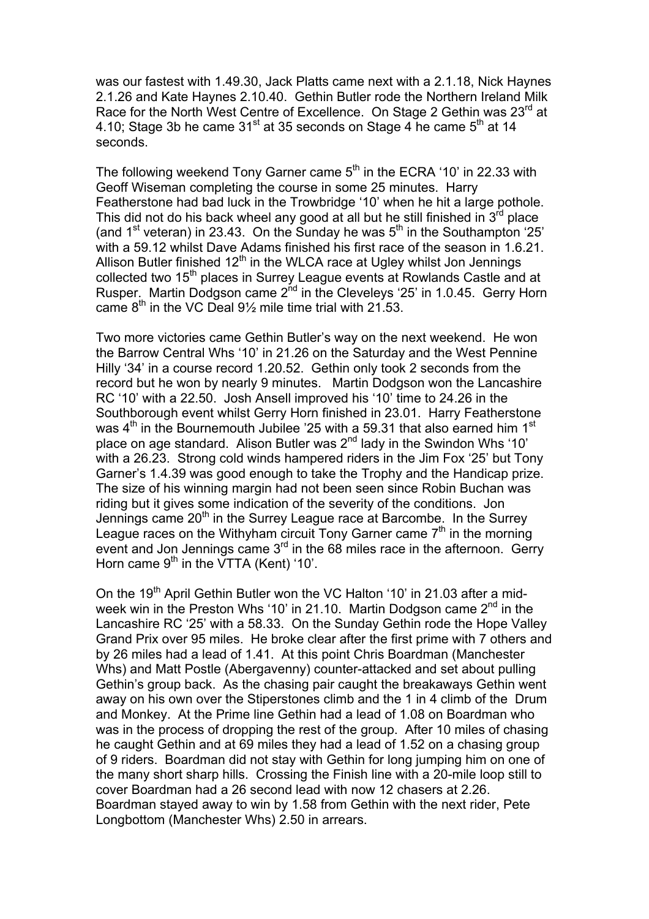was our fastest with 1.49.30, Jack Platts came next with a 2.1.18, Nick Haynes 2.1.26 and Kate Haynes 2.10.40. Gethin Butler rode the Northern Ireland Milk Race for the North West Centre of Excellence. On Stage 2 Gethin was 23<sup>rd</sup> at 4.10; Stage 3b he came  $31<sup>st</sup>$  at 35 seconds on Stage 4 he came  $5<sup>th</sup>$  at 14 seconds.

The following weekend Tony Garner came  $5<sup>th</sup>$  in the ECRA '10' in 22.33 with Geoff Wiseman completing the course in some 25 minutes. Harry Featherstone had bad luck in the Trowbridge '10' when he hit a large pothole. This did not do his back wheel any good at all but he still finished in  $3<sup>rd</sup>$  place (and  $1<sup>st</sup>$  veteran) in 23.43. On the Sunday he was  $5<sup>th</sup>$  in the Southampton '25' with a 59.12 whilst Dave Adams finished his first race of the season in 1.6.21. Allison Butler finished  $12<sup>th</sup>$  in the WLCA race at Ugley whilst Jon Jennings collected two 15<sup>th</sup> places in Surrey League events at Rowlands Castle and at Rusper. Martin Dodgson came 2<sup>nd</sup> in the Cleveleys '25' in 1.0.45. Gerry Horn came  $8<sup>th</sup>$  in the VC Deal 9<sup>1</sup>/<sub>2</sub> mile time trial with 21.53.

Two more victories came Gethin Butler's way on the next weekend. He won the Barrow Central Whs '10' in 21.26 on the Saturday and the West Pennine Hilly '34' in a course record 1.20.52. Gethin only took 2 seconds from the record but he won by nearly 9 minutes. Martin Dodgson won the Lancashire RC '10' with a 22.50. Josh Ansell improved his '10' time to 24.26 in the Southborough event whilst Gerry Horn finished in 23.01. Harry Featherstone was  $4<sup>th</sup>$  in the Bournemouth Jubilee '25 with a 59.31 that also earned him 1<sup>st</sup> place on age standard. Alison Butler was  $2^{nd}$  lady in the Swindon Whs '10' with a 26.23. Strong cold winds hampered riders in the Jim Fox '25' but Tony Garner's 1.4.39 was good enough to take the Trophy and the Handicap prize. The size of his winning margin had not been seen since Robin Buchan was riding but it gives some indication of the severity of the conditions. Jon Jennings came  $20<sup>th</sup>$  in the Surrey League race at Barcombe. In the Surrey League races on the Withyham circuit Tony Garner came  $7<sup>th</sup>$  in the morning event and Jon Jennings came 3<sup>rd</sup> in the 68 miles race in the afternoon. Gerry Horn came  $9<sup>th</sup>$  in the VTTA (Kent) '10'.

On the 19<sup>th</sup> April Gethin Butler won the VC Halton '10' in 21.03 after a midweek win in the Preston Whs '10' in 21.10. Martin Dodgson came 2<sup>nd</sup> in the Lancashire RC '25' with a 58.33. On the Sunday Gethin rode the Hope Valley Grand Prix over 95 miles. He broke clear after the first prime with 7 others and by 26 miles had a lead of 1.41. At this point Chris Boardman (Manchester Whs) and Matt Postle (Abergavenny) counter-attacked and set about pulling Gethin's group back. As the chasing pair caught the breakaways Gethin went away on his own over the Stiperstones climb and the 1 in 4 climb of the Drum and Monkey. At the Prime line Gethin had a lead of 1.08 on Boardman who was in the process of dropping the rest of the group. After 10 miles of chasing he caught Gethin and at 69 miles they had a lead of 1.52 on a chasing group of 9 riders. Boardman did not stay with Gethin for long jumping him on one of the many short sharp hills. Crossing the Finish line with a 20-mile loop still to cover Boardman had a 26 second lead with now 12 chasers at 2.26. Boardman stayed away to win by 1.58 from Gethin with the next rider, Pete Longbottom (Manchester Whs) 2.50 in arrears.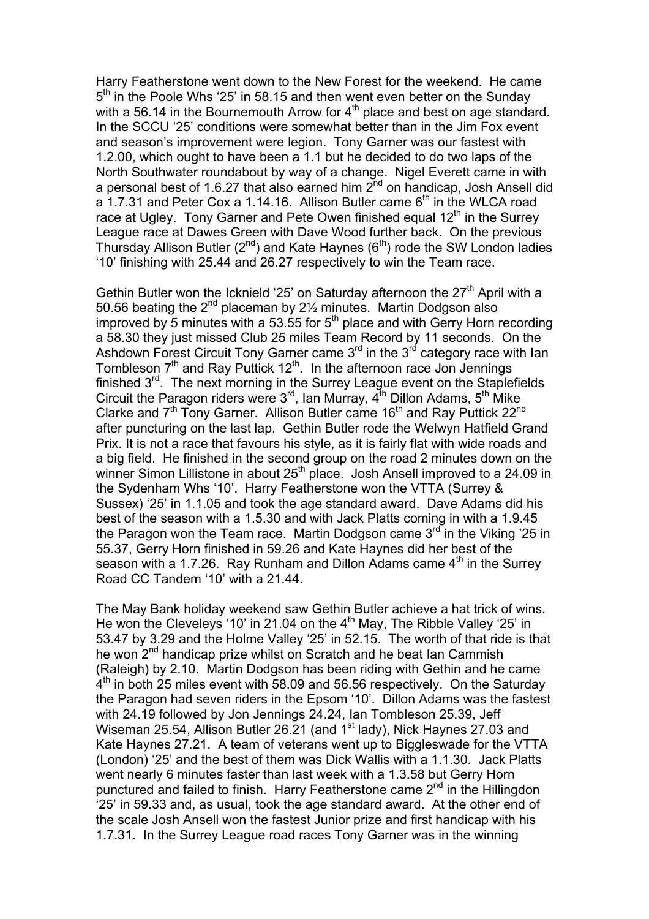Harry Featherstone went down to the New Forest for the weekend. He came 5<sup>th</sup> in the Poole Whs '25' in 58.15 and then went even better on the Sunday with a 56.14 in the Bournemouth Arrow for  $4<sup>th</sup>$  place and best on age standard. In the SCCU '25' conditions were somewhat better than in the Jim Fox event and season's improvement were legion. Tony Garner was our fastest with 1.2.00, which ought to have been a 1.1 but he decided to do two laps of the North Southwater roundabout by way of a change. Nigel Everett came in with a personal best of 1.6.27 that also earned him  $2^{nd}$  on handicap, Josh Ansell did a 1.7.31 and Peter Cox a 1.14.16. Allison Butler came  $6<sup>th</sup>$  in the WLCA road race at Ugley. Tony Garner and Pete Owen finished equal  $12<sup>th</sup>$  in the Surrey League race at Dawes Green with Dave Wood further back. On the previous Thursday Allison Butler  $(2^{nd})$  and Kate Haynes  $(6^{th})$  rode the SW London ladies '10' finishing with 25.44 and 26.27 respectively to win the Team race.

Gethin Butler won the Icknield '25' on Saturday afternoon the  $27<sup>th</sup>$  April with a 50.56 beating the 2<sup>nd</sup> placeman by 2<sup>1/2</sup> minutes. Martin Dodgson also improved by 5 minutes with a 53.55 for  $5<sup>th</sup>$  place and with Gerry Horn recording a 58.30 they just missed Club 25 miles Team Record by 11 seconds. On the Ashdown Forest Circuit Tony Garner came  $3<sup>rd</sup>$  in the  $3<sup>rd</sup>$  category race with Ian Tombleson  $7<sup>th</sup>$  and Ray Puttick  $12<sup>th</sup>$ . In the afternoon race Jon Jennings finished 3<sup>rd</sup>. The next morning in the Surrey League event on the Staplefields Circuit the Paragon riders were  $3^{rd}$ , Ian Murray,  $4^{th}$  Dillon Adams,  $5^{th}$  Mike Clarke and  $7<sup>th</sup>$  Tony Garner. Allison Butler came 16<sup>th</sup> and Ray Puttick 22<sup>nd</sup> after puncturing on the last lap. Gethin Butler rode the Welwyn Hatfield Grand Prix. It is not a race that favours his style, as it is fairly flat with wide roads and a big field. He finished in the second group on the road 2 minutes down on the winner Simon Lillistone in about 25<sup>th</sup> place. Josh Ansell improved to a 24.09 in the Sydenham Whs '10'. Harry Featherstone won the VTTA (Surrey & Sussex) '25' in 1.1.05 and took the age standard award. Dave Adams did his best of the season with a 1.5.30 and with Jack Platts coming in with a 1.9.45 the Paragon won the Team race. Martin Dodgson came  $3<sup>rd</sup>$  in the Viking '25 in 55.37, Gerry Horn finished in 59.26 and Kate Haynes did her best of the season with a 1.7.26. Ray Runham and Dillon Adams came  $4<sup>th</sup>$  in the Surrey Road CC Tandem '10' with a 21.44.

The May Bank holiday weekend saw Gethin Butler achieve a hat trick of wins. He won the Cleveleys '10' in 21.04 on the  $4<sup>th</sup>$  May, The Ribble Valley '25' in 53.47 by 3.29 and the Holme Valley '25' in 52.15. The worth of that ride is that he won 2<sup>nd</sup> handicap prize whilst on Scratch and he beat Ian Cammish (Raleigh) by 2.10. Martin Dodgson has been riding with Gethin and he came 4<sup>th</sup> in both 25 miles event with 58.09 and 56.56 respectively. On the Saturday the Paragon had seven riders in the Epsom '10'. Dillon Adams was the fastest with 24.19 followed by Jon Jennings 24.24, Ian Tombleson 25.39, Jeff Wiseman 25.54, Allison Butler 26.21 (and 1<sup>st</sup> lady), Nick Haynes 27.03 and Kate Haynes 27.21. A team of veterans went up to Biggleswade for the VTTA (London) '25' and the best of them was Dick Wallis with a 1.1.30. Jack Platts went nearly 6 minutes faster than last week with a 1.3.58 but Gerry Horn punctured and failed to finish. Harry Featherstone came 2<sup>nd</sup> in the Hillingdon '25' in 59.33 and, as usual, took the age standard award. At the other end of the scale Josh Ansell won the fastest Junior prize and first handicap with his 1.7.31. In the Surrey League road races Tony Garner was in the winning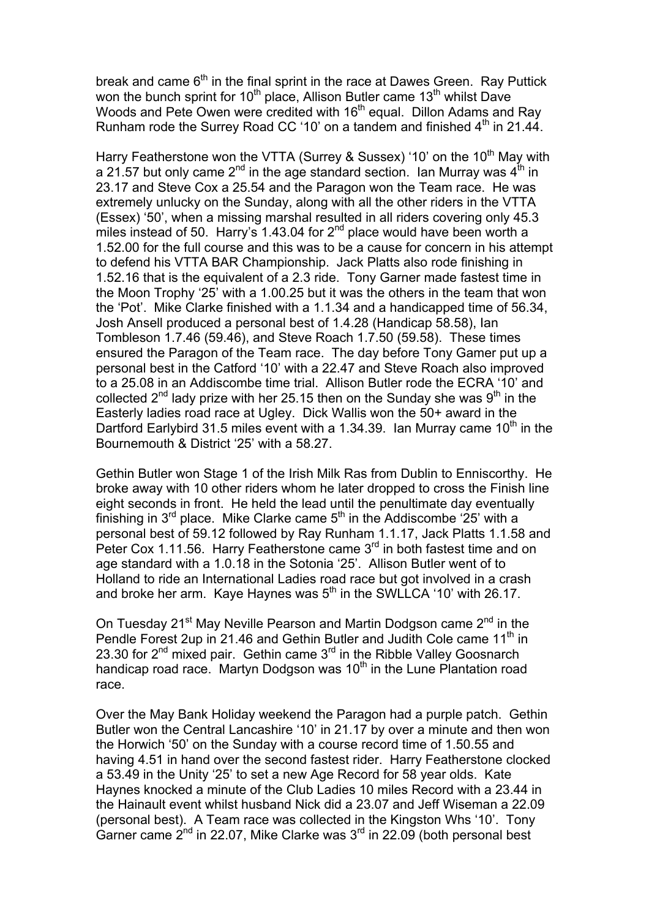break and came  $6<sup>th</sup>$  in the final sprint in the race at Dawes Green. Ray Puttick won the bunch sprint for 10<sup>th</sup> place, Allison Butler came 13<sup>th</sup> whilst Dave Woods and Pete Owen were credited with 16<sup>th</sup> equal. Dillon Adams and Ray Runham rode the Surrey Road CC '10' on a tandem and finished  $4<sup>th</sup>$  in 21.44.

Harry Featherstone won the VTTA (Surrey & Sussex) '10' on the 10<sup>th</sup> May with a 21.57 but only came  $2^{nd}$  in the age standard section. Ian Murray was  $4^{th}$  in 23.17 and Steve Cox a 25.54 and the Paragon won the Team race. He was extremely unlucky on the Sunday, along with all the other riders in the VTTA (Essex) '50', when a missing marshal resulted in all riders covering only 45.3 miles instead of 50. Harry's 1.43.04 for  $2^{nd}$  place would have been worth a 1.52.00 for the full course and this was to be a cause for concern in his attempt to defend his VTTA BAR Championship. Jack Platts also rode finishing in 1.52.16 that is the equivalent of a 2.3 ride. Tony Garner made fastest time in the Moon Trophy '25' with a 1.00.25 but it was the others in the team that won the 'Pot'. Mike Clarke finished with a 1.1.34 and a handicapped time of 56.34, Josh Ansell produced a personal best of 1.4.28 (Handicap 58.58), Ian Tombleson 1.7.46 (59.46), and Steve Roach 1.7.50 (59.58). These times ensured the Paragon of the Team race. The day before Tony Gamer put up a personal best in the Catford '10' with a 22.47 and Steve Roach also improved to a 25.08 in an Addiscombe time trial. Allison Butler rode the ECRA '10' and collected  $2^{nd}$  lady prize with her 25.15 then on the Sunday she was  $9^{th}$  in the Easterly ladies road race at Ugley. Dick Wallis won the 50+ award in the Dartford Earlybird 31.5 miles event with a 1.34.39. Ian Murray came  $10<sup>th</sup>$  in the Bournemouth & District '25' with a 58.27.

Gethin Butler won Stage 1 of the Irish Milk Ras from Dublin to Enniscorthy. He broke away with 10 other riders whom he later dropped to cross the Finish line eight seconds in front. He held the lead until the penultimate day eventually finishing in  $3^{rd}$  place. Mike Clarke came  $5^{th}$  in the Addiscombe '25' with a personal best of 59.12 followed by Ray Runham 1.1.17, Jack Platts 1.1.58 and Peter Cox 1.11.56. Harry Featherstone came 3<sup>rd</sup> in both fastest time and on age standard with a 1.0.18 in the Sotonia '25'. Allison Butler went of to Holland to ride an International Ladies road race but got involved in a crash and broke her arm. Kaye Haynes was  $5<sup>th</sup>$  in the SWLLCA '10' with 26.17.

On Tuesday 21<sup>st</sup> May Neville Pearson and Martin Dodgson came 2<sup>nd</sup> in the Pendle Forest 2up in 21.46 and Gethin Butler and Judith Cole came 11<sup>th</sup> in 23.30 for  $2^{nd}$  mixed pair. Gethin came  $3^{rd}$  in the Ribble Valley Goosnarch handicap road race. Martyn Dodgson was 10<sup>th</sup> in the Lune Plantation road race.

Over the May Bank Holiday weekend the Paragon had a purple patch. Gethin Butler won the Central Lancashire '10' in 21.17 by over a minute and then won the Horwich '50' on the Sunday with a course record time of 1.50.55 and having 4.51 in hand over the second fastest rider. Harry Featherstone clocked a 53.49 in the Unity '25' to set a new Age Record for 58 year olds. Kate Haynes knocked a minute of the Club Ladies 10 miles Record with a 23.44 in the Hainault event whilst husband Nick did a 23.07 and Jeff Wiseman a 22.09 (personal best). A Team race was collected in the Kingston Whs '10'. Tony Garner came  $2<sup>nd</sup>$  in 22.07, Mike Clarke was  $3<sup>rd</sup>$  in 22.09 (both personal best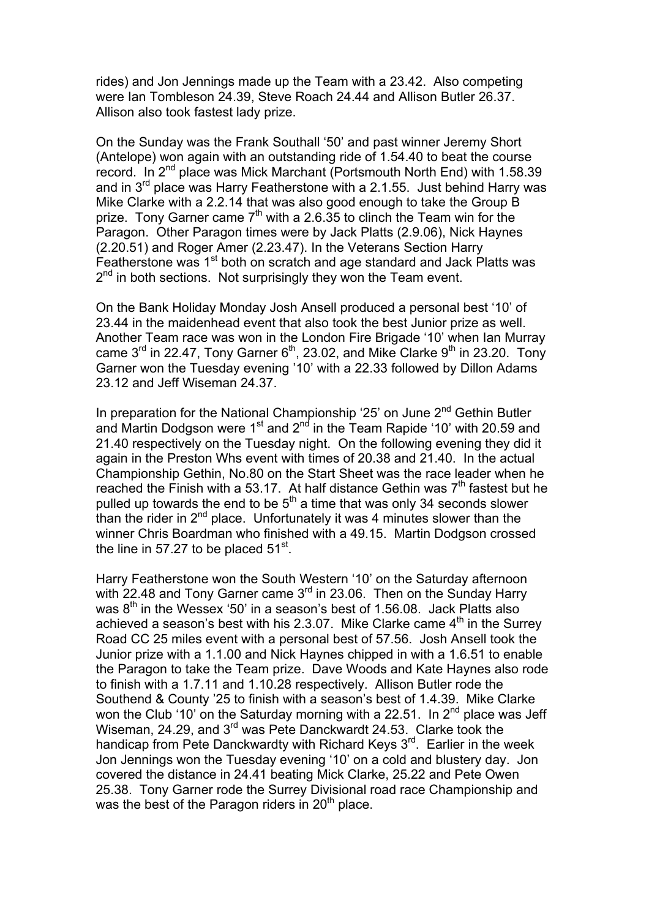rides) and Jon Jennings made up the Team with a 23.42. Also competing were Ian Tombleson 24.39, Steve Roach 24.44 and Allison Butler 26.37. Allison also took fastest lady prize.

On the Sunday was the Frank Southall '50' and past winner Jeremy Short (Antelope) won again with an outstanding ride of 1.54.40 to beat the course record. In 2<sup>nd</sup> place was Mick Marchant (Portsmouth North End) with 1.58.39 and in  $3^{rd}$  place was Harry Featherstone with a 2.1.55. Just behind Harry was Mike Clarke with a 2.2.14 that was also good enough to take the Group B prize. Tony Garner came  $7<sup>th</sup>$  with a 2.6.35 to clinch the Team win for the Paragon. Other Paragon times were by Jack Platts (2.9.06), Nick Haynes (2.20.51) and Roger Amer (2.23.47). In the Veterans Section Harry Featherstone was 1<sup>st</sup> both on scratch and age standard and Jack Platts was  $2<sup>nd</sup>$  in both sections. Not surprisingly they won the Team event.

On the Bank Holiday Monday Josh Ansell produced a personal best '10' of 23.44 in the maidenhead event that also took the best Junior prize as well. Another Team race was won in the London Fire Brigade '10' when Ian Murray came  $3<sup>rd</sup>$  in 22.47, Tony Garner 6<sup>th</sup>, 23.02, and Mike Clarke 9<sup>th</sup> in 23.20. Tony Garner won the Tuesday evening '10' with a 22.33 followed by Dillon Adams 23.12 and Jeff Wiseman 24.37.

In preparation for the National Championship '25' on June  $2^{nd}$  Gethin Butler and Martin Dodgson were 1<sup>st</sup> and 2<sup>nd</sup> in the Team Rapide '10' with 20.59 and 21.40 respectively on the Tuesday night. On the following evening they did it again in the Preston Whs event with times of 20.38 and 21.40. In the actual Championship Gethin, No.80 on the Start Sheet was the race leader when he reached the Finish with a 53.17. At half distance Gethin was  $7<sup>th</sup>$  fastest but he pulled up towards the end to be  $5<sup>th</sup>$  a time that was only 34 seconds slower than the rider in  $2<sup>nd</sup>$  place. Unfortunately it was 4 minutes slower than the winner Chris Boardman who finished with a 49.15. Martin Dodgson crossed the line in 57.27 to be placed  $51<sup>st</sup>$ .

Harry Featherstone won the South Western '10' on the Saturday afternoon with 22.48 and Tony Garner came 3<sup>rd</sup> in 23.06. Then on the Sunday Harry was 8<sup>th</sup> in the Wessex '50' in a season's best of 1.56.08. Jack Platts also achieved a season's best with his 2.3.07. Mike Clarke came  $4<sup>th</sup>$  in the Surrey Road CC 25 miles event with a personal best of 57.56. Josh Ansell took the Junior prize with a 1.1.00 and Nick Haynes chipped in with a 1.6.51 to enable the Paragon to take the Team prize. Dave Woods and Kate Haynes also rode to finish with a 1.7.11 and 1.10.28 respectively. Allison Butler rode the Southend & County '25 to finish with a season's best of 1.4.39. Mike Clarke won the Club '10' on the Saturday morning with a 22.51. In  $2^{nd}$  place was Jeff Wiseman, 24.29, and 3<sup>rd</sup> was Pete Danckwardt 24.53. Clarke took the handicap from Pete Danckwardty with Richard Keys 3<sup>rd</sup>. Earlier in the week Jon Jennings won the Tuesday evening '10' on a cold and blustery day. Jon covered the distance in 24.41 beating Mick Clarke, 25.22 and Pete Owen 25.38. Tony Garner rode the Surrey Divisional road race Championship and was the best of the Paragon riders in  $20<sup>th</sup>$  place.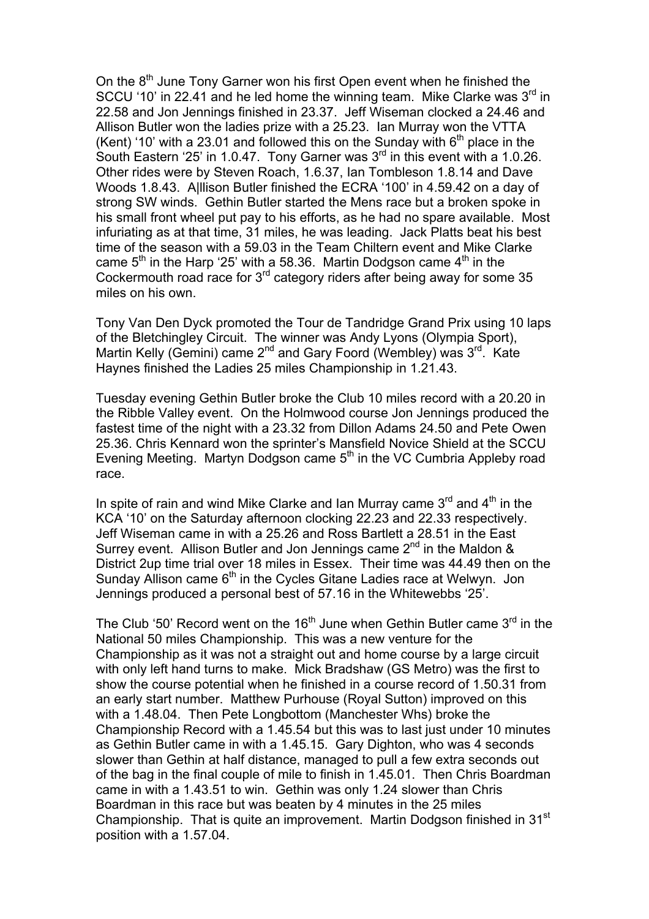On the  $8<sup>th</sup>$  June Tony Garner won his first Open event when he finished the SCCU '10' in 22.41 and he led home the winning team. Mike Clarke was  $3<sup>rd</sup>$  in 22.58 and Jon Jennings finished in 23.37. Jeff Wiseman clocked a 24.46 and Allison Butler won the ladies prize with a 25.23. Ian Murray won the VTTA (Kent) '10' with a 23.01 and followed this on the Sunday with  $6<sup>th</sup>$  place in the South Eastern '25' in 1.0.47. Tony Garner was  $3<sup>rd</sup>$  in this event with a 1.0.26. Other rides were by Steven Roach, 1.6.37, Ian Tombleson 1.8.14 and Dave Woods 1.8.43. A|llison Butler finished the ECRA '100' in 4.59.42 on a day of strong SW winds. Gethin Butler started the Mens race but a broken spoke in his small front wheel put pay to his efforts, as he had no spare available. Most infuriating as at that time, 31 miles, he was leading. Jack Platts beat his best time of the season with a 59.03 in the Team Chiltern event and Mike Clarke came  $5<sup>th</sup>$  in the Harp '25' with a 58.36. Martin Dodgson came  $4<sup>th</sup>$  in the Cockermouth road race for 3rd category riders after being away for some 35 miles on his own.

Tony Van Den Dyck promoted the Tour de Tandridge Grand Prix using 10 laps of the Bletchingley Circuit. The winner was Andy Lyons (Olympia Sport), Martin Kelly (Gemini) came  $2^{nd}$  and Gary Foord (Wembley) was  $3^{rd}$ . Kate Haynes finished the Ladies 25 miles Championship in 1.21.43.

Tuesday evening Gethin Butler broke the Club 10 miles record with a 20.20 in the Ribble Valley event. On the Holmwood course Jon Jennings produced the fastest time of the night with a 23.32 from Dillon Adams 24.50 and Pete Owen 25.36. Chris Kennard won the sprinter's Mansfield Novice Shield at the SCCU Evening Meeting. Martyn Dodgson came 5<sup>th</sup> in the VC Cumbria Appleby road race.

In spite of rain and wind Mike Clarke and Ian Murray came  $3<sup>rd</sup>$  and  $4<sup>th</sup>$  in the KCA '10' on the Saturday afternoon clocking 22.23 and 22.33 respectively. Jeff Wiseman came in with a 25.26 and Ross Bartlett a 28.51 in the East Surrey event. Allison Butler and Jon Jennings came  $2^{nd}$  in the Maldon & District 2up time trial over 18 miles in Essex. Their time was 44.49 then on the Sunday Allison came  $6<sup>th</sup>$  in the Cycles Gitane Ladies race at Welwyn. Jon Jennings produced a personal best of 57.16 in the Whitewebbs '25'.

The Club '50' Record went on the 16<sup>th</sup> June when Gethin Butler came  $3<sup>rd</sup>$  in the National 50 miles Championship. This was a new venture for the Championship as it was not a straight out and home course by a large circuit with only left hand turns to make. Mick Bradshaw (GS Metro) was the first to show the course potential when he finished in a course record of 1.50.31 from an early start number. Matthew Purhouse (Royal Sutton) improved on this with a 1.48.04. Then Pete Longbottom (Manchester Whs) broke the Championship Record with a 1.45.54 but this was to last just under 10 minutes as Gethin Butler came in with a 1.45.15. Gary Dighton, who was 4 seconds slower than Gethin at half distance, managed to pull a few extra seconds out of the bag in the final couple of mile to finish in 1.45.01. Then Chris Boardman came in with a 1.43.51 to win. Gethin was only 1.24 slower than Chris Boardman in this race but was beaten by 4 minutes in the 25 miles Championship. That is quite an improvement. Martin Dodgson finished in 31<sup>st</sup> position with a 1.57.04.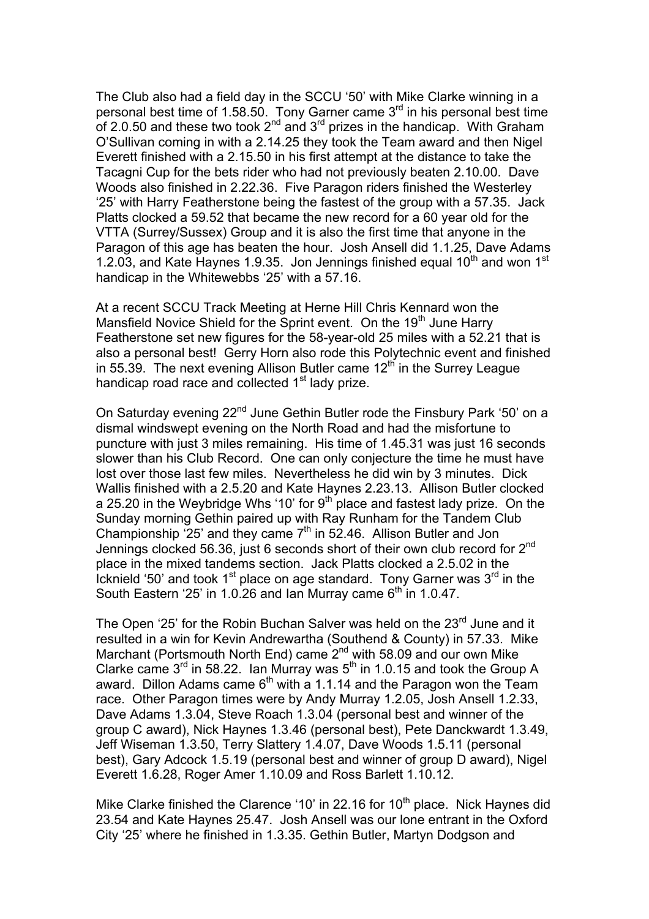The Club also had a field day in the SCCU '50' with Mike Clarke winning in a personal best time of 1.58.50. Tony Garner came  $3<sup>rd</sup>$  in his personal best time of 2.0.50 and these two took  $2^{nd}$  and  $3^{rd}$  prizes in the handicap. With Graham O'Sullivan coming in with a 2.14.25 they took the Team award and then Nigel Everett finished with a 2.15.50 in his first attempt at the distance to take the Tacagni Cup for the bets rider who had not previously beaten 2.10.00. Dave Woods also finished in 2.22.36. Five Paragon riders finished the Westerley '25' with Harry Featherstone being the fastest of the group with a 57.35. Jack Platts clocked a 59.52 that became the new record for a 60 year old for the VTTA (Surrey/Sussex) Group and it is also the first time that anyone in the Paragon of this age has beaten the hour. Josh Ansell did 1.1.25, Dave Adams 1.2.03, and Kate Haynes 1.9.35. Jon Jennings finished equal  $10<sup>th</sup>$  and won  $1<sup>st</sup>$ handicap in the Whitewebbs '25' with a 57.16.

At a recent SCCU Track Meeting at Herne Hill Chris Kennard won the Mansfield Novice Shield for the Sprint event. On the 19<sup>th</sup> June Harry Featherstone set new figures for the 58-year-old 25 miles with a 52.21 that is also a personal best! Gerry Horn also rode this Polytechnic event and finished in 55.39. The next evening Allison Butler came  $12<sup>th</sup>$  in the Surrey League handicap road race and collected 1<sup>st</sup> lady prize.

On Saturday evening 22<sup>nd</sup> June Gethin Butler rode the Finsbury Park '50' on a dismal windswept evening on the North Road and had the misfortune to puncture with just 3 miles remaining. His time of 1.45.31 was just 16 seconds slower than his Club Record. One can only conjecture the time he must have lost over those last few miles. Nevertheless he did win by 3 minutes. Dick Wallis finished with a 2.5.20 and Kate Haynes 2.23.13. Allison Butler clocked a 25.20 in the Weybridge Whs '10' for  $9<sup>th</sup>$  place and fastest lady prize. On the Sunday morning Gethin paired up with Ray Runham for the Tandem Club Championship  $25'$  and they came  $7<sup>th</sup>$  in 52.46. Allison Butler and Jon Jennings clocked 56.36, just 6 seconds short of their own club record for 2<sup>nd</sup> place in the mixed tandems section. Jack Platts clocked a 2.5.02 in the Icknield '50' and took  $1<sup>st</sup>$  place on age standard. Tony Garner was  $3<sup>rd</sup>$  in the South Eastern '25' in 1.0.26 and Ian Murray came  $6<sup>th</sup>$  in 1.0.47.

The Open '25' for the Robin Buchan Salver was held on the 23<sup>rd</sup> June and it resulted in a win for Kevin Andrewartha (Southend & County) in 57.33. Mike Marchant (Portsmouth North End) came  $2^{nd}$  with 58.09 and our own Mike Clarke came  $3^{rd}$  in 58.22. Ian Murray was  $5^{th}$  in 1.0.15 and took the Group A award. Dillon Adams came  $6<sup>th</sup>$  with a 1.1.14 and the Paragon won the Team race. Other Paragon times were by Andy Murray 1.2.05, Josh Ansell 1.2.33, Dave Adams 1.3.04, Steve Roach 1.3.04 (personal best and winner of the group C award), Nick Haynes 1.3.46 (personal best), Pete Danckwardt 1.3.49, Jeff Wiseman 1.3.50, Terry Slattery 1.4.07, Dave Woods 1.5.11 (personal best), Gary Adcock 1.5.19 (personal best and winner of group D award), Nigel Everett 1.6.28, Roger Amer 1.10.09 and Ross Barlett 1.10.12.

Mike Clarke finished the Clarence '10' in 22.16 for  $10<sup>th</sup>$  place. Nick Haynes did 23.54 and Kate Haynes 25.47. Josh Ansell was our lone entrant in the Oxford City '25' where he finished in 1.3.35. Gethin Butler, Martyn Dodgson and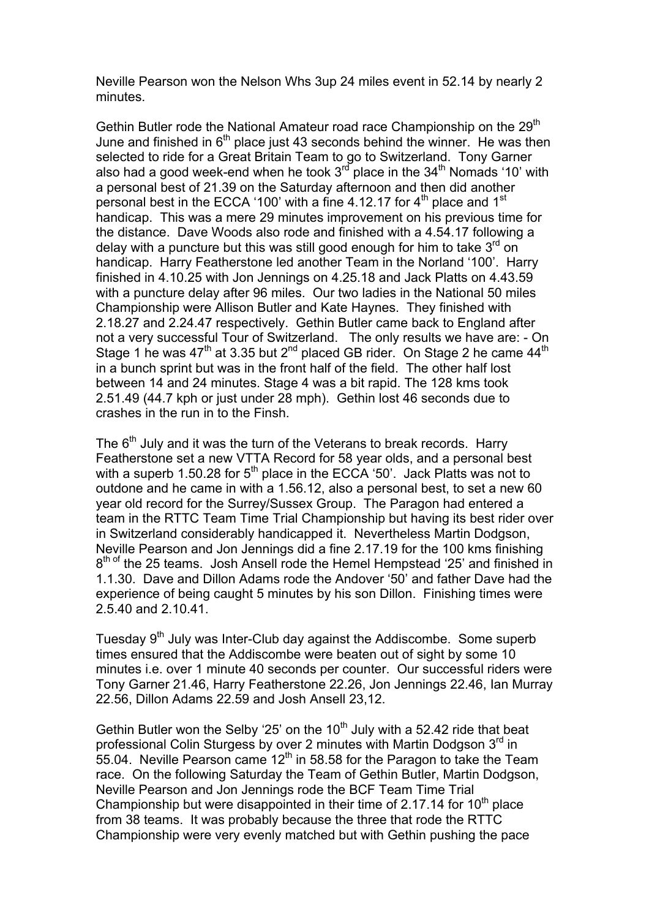Neville Pearson won the Nelson Whs 3up 24 miles event in 52.14 by nearly 2 minutes.

Gethin Butler rode the National Amateur road race Championship on the 29<sup>th</sup> June and finished in  $6<sup>th</sup>$  place just 43 seconds behind the winner. He was then selected to ride for a Great Britain Team to go to Switzerland. Tony Garner also had a good week-end when he took  $3<sup>rd</sup>$  place in the  $34<sup>th</sup>$  Nomads '10' with a personal best of 21.39 on the Saturday afternoon and then did another personal best in the ECCA '100' with a fine 4.12.17 for  $4<sup>th</sup>$  place and 1<sup>st</sup> handicap. This was a mere 29 minutes improvement on his previous time for the distance. Dave Woods also rode and finished with a 4.54.17 following a delay with a puncture but this was still good enough for him to take  $3<sup>rd</sup>$  on handicap. Harry Featherstone led another Team in the Norland '100'. Harry finished in 4.10.25 with Jon Jennings on 4.25.18 and Jack Platts on 4.43.59 with a puncture delay after 96 miles. Our two ladies in the National 50 miles Championship were Allison Butler and Kate Haynes. They finished with 2.18.27 and 2.24.47 respectively. Gethin Butler came back to England after not a very successful Tour of Switzerland. The only results we have are: - On Stage 1 he was  $47<sup>th</sup>$  at 3.35 but 2<sup>nd</sup> placed GB rider. On Stage 2 he came  $44<sup>th</sup>$ in a bunch sprint but was in the front half of the field. The other half lost between 14 and 24 minutes. Stage 4 was a bit rapid. The 128 kms took 2.51.49 (44.7 kph or just under 28 mph). Gethin lost 46 seconds due to crashes in the run in to the Finsh.

The 6<sup>th</sup> July and it was the turn of the Veterans to break records. Harry Featherstone set a new VTTA Record for 58 year olds, and a personal best with a superb 1.50.28 for  $5<sup>th</sup>$  place in the ECCA '50'. Jack Platts was not to outdone and he came in with a 1.56.12, also a personal best, to set a new 60 year old record for the Surrey/Sussex Group. The Paragon had entered a team in the RTTC Team Time Trial Championship but having its best rider over in Switzerland considerably handicapped it. Nevertheless Martin Dodgson, Neville Pearson and Jon Jennings did a fine 2.17.19 for the 100 kms finishing 8<sup>th of</sup> the 25 teams. Josh Ansell rode the Hemel Hempstead '25' and finished in 1.1.30. Dave and Dillon Adams rode the Andover '50' and father Dave had the experience of being caught 5 minutes by his son Dillon. Finishing times were 2.5.40 and 2.10.41.

Tuesday 9<sup>th</sup> July was Inter-Club day against the Addiscombe. Some superb times ensured that the Addiscombe were beaten out of sight by some 10 minutes i.e. over 1 minute 40 seconds per counter. Our successful riders were Tony Garner 21.46, Harry Featherstone 22.26, Jon Jennings 22.46, Ian Murray 22.56, Dillon Adams 22.59 and Josh Ansell 23,12.

Gethin Butler won the Selby '25' on the  $10<sup>th</sup>$  July with a 52.42 ride that beat professional Colin Sturgess by over 2 minutes with Martin Dodgson 3<sup>rd</sup> in 55.04. Neville Pearson came  $12<sup>th</sup>$  in 58.58 for the Paragon to take the Team race. On the following Saturday the Team of Gethin Butler, Martin Dodgson, Neville Pearson and Jon Jennings rode the BCF Team Time Trial Championship but were disappointed in their time of 2.17.14 for 10<sup>th</sup> place from 38 teams. It was probably because the three that rode the RTTC Championship were very evenly matched but with Gethin pushing the pace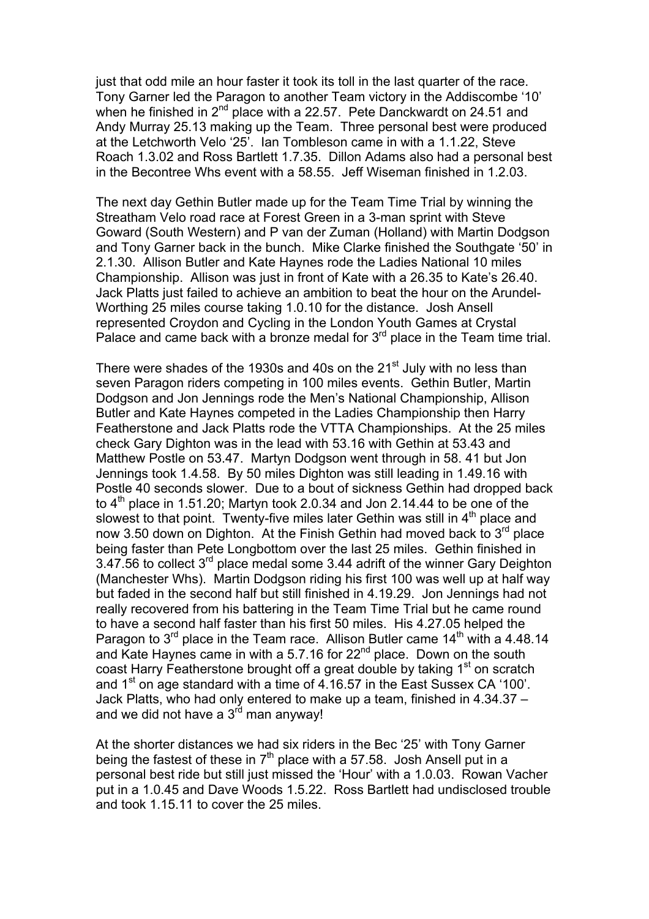just that odd mile an hour faster it took its toll in the last quarter of the race. Tony Garner led the Paragon to another Team victory in the Addiscombe '10' when he finished in 2<sup>nd</sup> place with a 22.57. Pete Danckwardt on 24.51 and Andy Murray 25.13 making up the Team. Three personal best were produced at the Letchworth Velo '25'. Ian Tombleson came in with a 1.1.22, Steve Roach 1.3.02 and Ross Bartlett 1.7.35. Dillon Adams also had a personal best in the Becontree Whs event with a 58.55. Jeff Wiseman finished in 1.2.03.

The next day Gethin Butler made up for the Team Time Trial by winning the Streatham Velo road race at Forest Green in a 3-man sprint with Steve Goward (South Western) and P van der Zuman (Holland) with Martin Dodgson and Tony Garner back in the bunch. Mike Clarke finished the Southgate '50' in 2.1.30. Allison Butler and Kate Haynes rode the Ladies National 10 miles Championship. Allison was just in front of Kate with a 26.35 to Kate's 26.40. Jack Platts just failed to achieve an ambition to beat the hour on the Arundel-Worthing 25 miles course taking 1.0.10 for the distance. Josh Ansell represented Croydon and Cycling in the London Youth Games at Crystal Palace and came back with a bronze medal for  $3^{rd}$  place in the Team time trial.

There were shades of the 1930s and 40s on the 21<sup>st</sup> July with no less than seven Paragon riders competing in 100 miles events. Gethin Butler, Martin Dodgson and Jon Jennings rode the Men's National Championship, Allison Butler and Kate Haynes competed in the Ladies Championship then Harry Featherstone and Jack Platts rode the VTTA Championships. At the 25 miles check Gary Dighton was in the lead with 53.16 with Gethin at 53.43 and Matthew Postle on 53.47. Martyn Dodgson went through in 58. 41 but Jon Jennings took 1.4.58. By 50 miles Dighton was still leading in 1.49.16 with Postle 40 seconds slower. Due to a bout of sickness Gethin had dropped back to  $4<sup>th</sup>$  place in 1.51.20; Martyn took 2.0.34 and Jon 2.14.44 to be one of the slowest to that point. Twenty-five miles later Gethin was still in  $4<sup>th</sup>$  place and now 3.50 down on Dighton. At the Finish Gethin had moved back to 3<sup>rd</sup> place being faster than Pete Longbottom over the last 25 miles. Gethin finished in 3.47.56 to collect 3<sup>rd</sup> place medal some 3.44 adrift of the winner Gary Deighton (Manchester Whs). Martin Dodgson riding his first 100 was well up at half way but faded in the second half but still finished in 4.19.29. Jon Jennings had not really recovered from his battering in the Team Time Trial but he came round to have a second half faster than his first 50 miles. His 4.27.05 helped the Paragon to  $3^{\text{rd}}$  place in the Team race. Allison Butler came  $14^{\text{th}}$  with a 4.48.14 and Kate Haynes came in with a 5.7.16 for  $22^{nd}$  place. Down on the south coast Harry Featherstone brought off a great double by taking  $1<sup>st</sup>$  on scratch and 1<sup>st</sup> on age standard with a time of 4.16.57 in the East Sussex CA '100'. Jack Platts, who had only entered to make up a team, finished in 4.34.37 – and we did not have a  $3<sup>rd</sup>$  man anyway!

At the shorter distances we had six riders in the Bec '25' with Tony Garner being the fastest of these in  $7<sup>th</sup>$  place with a 57.58. Josh Ansell put in a personal best ride but still just missed the 'Hour' with a 1.0.03. Rowan Vacher put in a 1.0.45 and Dave Woods 1.5.22. Ross Bartlett had undisclosed trouble and took 1.15.11 to cover the 25 miles.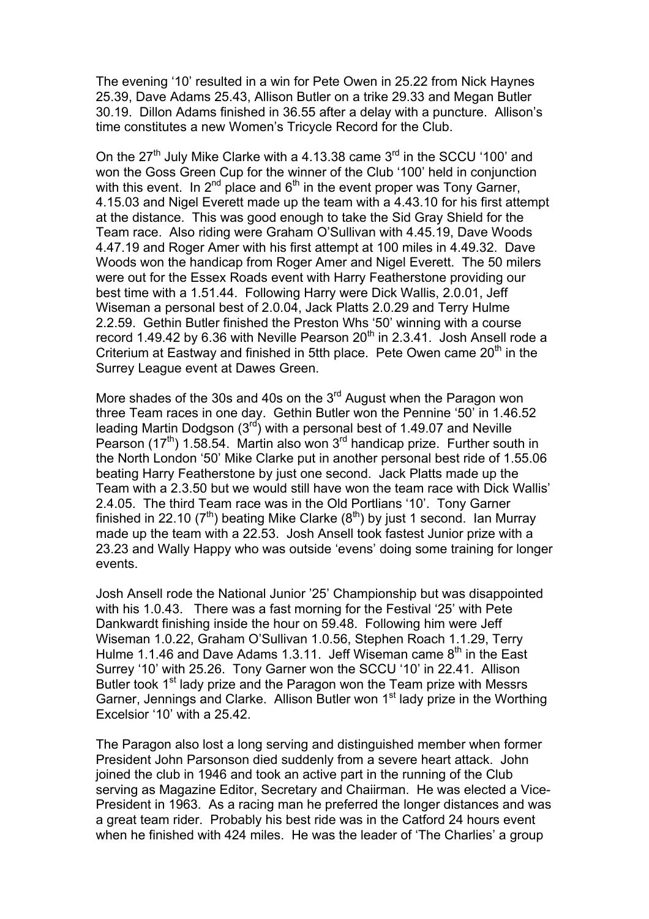The evening '10' resulted in a win for Pete Owen in 25.22 from Nick Haynes 25.39, Dave Adams 25.43, Allison Butler on a trike 29.33 and Megan Butler 30.19. Dillon Adams finished in 36.55 after a delay with a puncture. Allison's time constitutes a new Women's Tricycle Record for the Club.

On the  $27<sup>th</sup>$  July Mike Clarke with a 4.13.38 came  $3<sup>rd</sup>$  in the SCCU '100' and won the Goss Green Cup for the winner of the Club '100' held in conjunction with this event. In  $2^{nd}$  place and  $6^{th}$  in the event proper was Tony Garner, 4.15.03 and Nigel Everett made up the team with a 4.43.10 for his first attempt at the distance. This was good enough to take the Sid Gray Shield for the Team race. Also riding were Graham O'Sullivan with 4.45.19, Dave Woods 4.47.19 and Roger Amer with his first attempt at 100 miles in 4.49.32. Dave Woods won the handicap from Roger Amer and Nigel Everett. The 50 milers were out for the Essex Roads event with Harry Featherstone providing our best time with a 1.51.44. Following Harry were Dick Wallis, 2.0.01, Jeff Wiseman a personal best of 2.0.04, Jack Platts 2.0.29 and Terry Hulme 2.2.59. Gethin Butler finished the Preston Whs '50' winning with a course record 1.49.42 by 6.36 with Neville Pearson  $20<sup>th</sup>$  in 2.3.41. Josh Ansell rode a Criterium at Eastway and finished in 5tth place. Pete Owen came 20<sup>th</sup> in the Surrey League event at Dawes Green.

More shades of the 30s and 40s on the 3<sup>rd</sup> August when the Paragon won three Team races in one day. Gethin Butler won the Pennine '50' in 1.46.52 leading Martin Dodgson  $(3^{rd})$  with a personal best of 1.49.07 and Neville Pearson (17<sup>th</sup>) 1.58.54. Martin also won 3<sup>rd</sup> handicap prize. Further south in the North London '50' Mike Clarke put in another personal best ride of 1.55.06 beating Harry Featherstone by just one second. Jack Platts made up the Team with a 2.3.50 but we would still have won the team race with Dick Wallis' 2.4.05. The third Team race was in the Old Portlians '10'. Tony Garner finished in 22.10 ( $7<sup>th</sup>$ ) beating Mike Clarke ( $8<sup>th</sup>$ ) by just 1 second. Ian Murray made up the team with a 22.53. Josh Ansell took fastest Junior prize with a 23.23 and Wally Happy who was outside 'evens' doing some training for longer events.

Josh Ansell rode the National Junior '25' Championship but was disappointed with his 1.0.43. There was a fast morning for the Festival '25' with Pete Dankwardt finishing inside the hour on 59.48. Following him were Jeff Wiseman 1.0.22, Graham O'Sullivan 1.0.56, Stephen Roach 1.1.29, Terry Hulme 1.1.46 and Dave Adams 1.3.11. Jeff Wiseman came  $8<sup>th</sup>$  in the East Surrey '10' with 25.26. Tony Garner won the SCCU '10' in 22.41. Allison Butler took 1<sup>st</sup> lady prize and the Paragon won the Team prize with Messrs Garner, Jennings and Clarke. Allison Butler won 1<sup>st</sup> lady prize in the Worthing Excelsior '10' with a 25.42.

The Paragon also lost a long serving and distinguished member when former President John Parsonson died suddenly from a severe heart attack. John joined the club in 1946 and took an active part in the running of the Club serving as Magazine Editor, Secretary and Chaiirman. He was elected a Vice-President in 1963. As a racing man he preferred the longer distances and was a great team rider. Probably his best ride was in the Catford 24 hours event when he finished with 424 miles. He was the leader of 'The Charlies' a group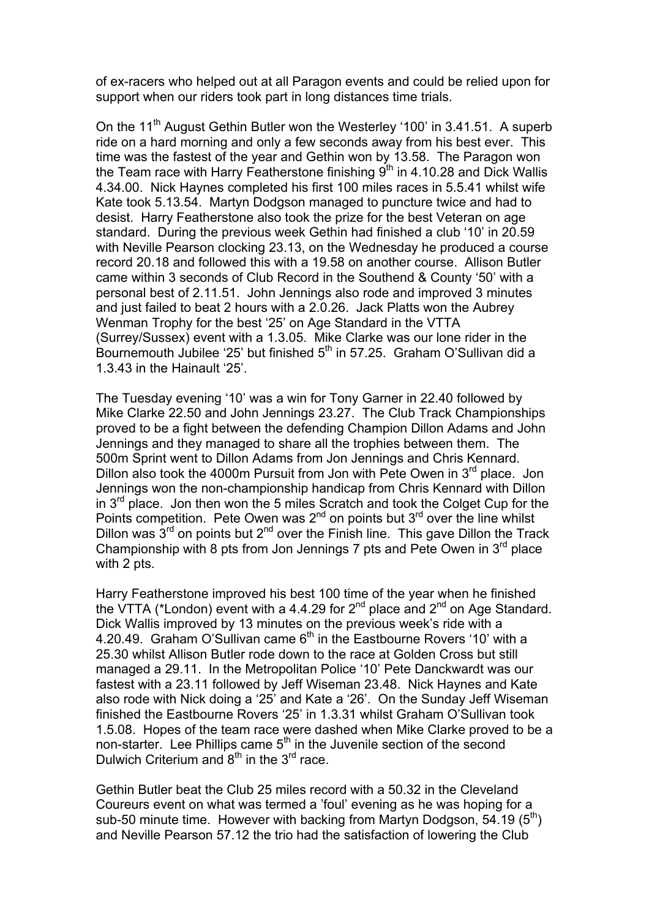of ex-racers who helped out at all Paragon events and could be relied upon for support when our riders took part in long distances time trials.

On the 11<sup>th</sup> August Gethin Butler won the Westerley '100' in 3.41.51. A superb ride on a hard morning and only a few seconds away from his best ever. This time was the fastest of the year and Gethin won by 13.58. The Paragon won the Team race with Harry Featherstone finishing  $9<sup>th</sup>$  in 4.10.28 and Dick Wallis 4.34.00. Nick Haynes completed his first 100 miles races in 5.5.41 whilst wife Kate took 5.13.54. Martyn Dodgson managed to puncture twice and had to desist. Harry Featherstone also took the prize for the best Veteran on age standard. During the previous week Gethin had finished a club '10' in 20.59 with Neville Pearson clocking 23.13, on the Wednesday he produced a course record 20.18 and followed this with a 19.58 on another course. Allison Butler came within 3 seconds of Club Record in the Southend & County '50' with a personal best of 2.11.51. John Jennings also rode and improved 3 minutes and just failed to beat 2 hours with a 2.0.26. Jack Platts won the Aubrey Wenman Trophy for the best '25' on Age Standard in the VTTA (Surrey/Sussex) event with a 1.3.05. Mike Clarke was our lone rider in the Bournemouth Jubilee '25' but finished  $5<sup>th</sup>$  in 57.25. Graham O'Sullivan did a 1.3.43 in the Hainault '25'.

The Tuesday evening '10' was a win for Tony Garner in 22.40 followed by Mike Clarke 22.50 and John Jennings 23.27. The Club Track Championships proved to be a fight between the defending Champion Dillon Adams and John Jennings and they managed to share all the trophies between them. The 500m Sprint went to Dillon Adams from Jon Jennings and Chris Kennard. Dillon also took the 4000m Pursuit from Jon with Pete Owen in 3<sup>rd</sup> place. Jon Jennings won the non-championship handicap from Chris Kennard with Dillon in  $3<sup>rd</sup>$  place. Jon then won the 5 miles Scratch and took the Colget Cup for the Points competition. Pete Owen was  $2^{nd}$  on points but  $3^{rd}$  over the line whilst Dillon was  $3<sup>rd</sup>$  on points but  $2<sup>nd</sup>$  over the Finish line. This gave Dillon the Track Championship with 8 pts from Jon Jennings 7 pts and Pete Owen in 3rd place with 2 pts.

Harry Featherstone improved his best 100 time of the year when he finished the VTTA (\*London) event with a 4.4.29 for  $2^{nd}$  place and  $2^{nd}$  on Age Standard. Dick Wallis improved by 13 minutes on the previous week's ride with a 4.20.49. Graham O'Sullivan came 6<sup>th</sup> in the Eastbourne Rovers '10' with a 25.30 whilst Allison Butler rode down to the race at Golden Cross but still managed a 29.11. In the Metropolitan Police '10' Pete Danckwardt was our fastest with a 23.11 followed by Jeff Wiseman 23.48. Nick Haynes and Kate also rode with Nick doing a '25' and Kate a '26'. On the Sunday Jeff Wiseman finished the Eastbourne Rovers '25' in 1.3.31 whilst Graham O'Sullivan took 1.5.08. Hopes of the team race were dashed when Mike Clarke proved to be a non-starter. Lee Phillips came 5<sup>th</sup> in the Juvenile section of the second Dulwich Criterium and  $8<sup>th</sup>$  in the  $3<sup>rd</sup>$  race.

Gethin Butler beat the Club 25 miles record with a 50.32 in the Cleveland Coureurs event on what was termed a 'foul' evening as he was hoping for a sub-50 minute time. However with backing from Martyn Dodgson, 54.19  $(5<sup>th</sup>)$ and Neville Pearson 57.12 the trio had the satisfaction of lowering the Club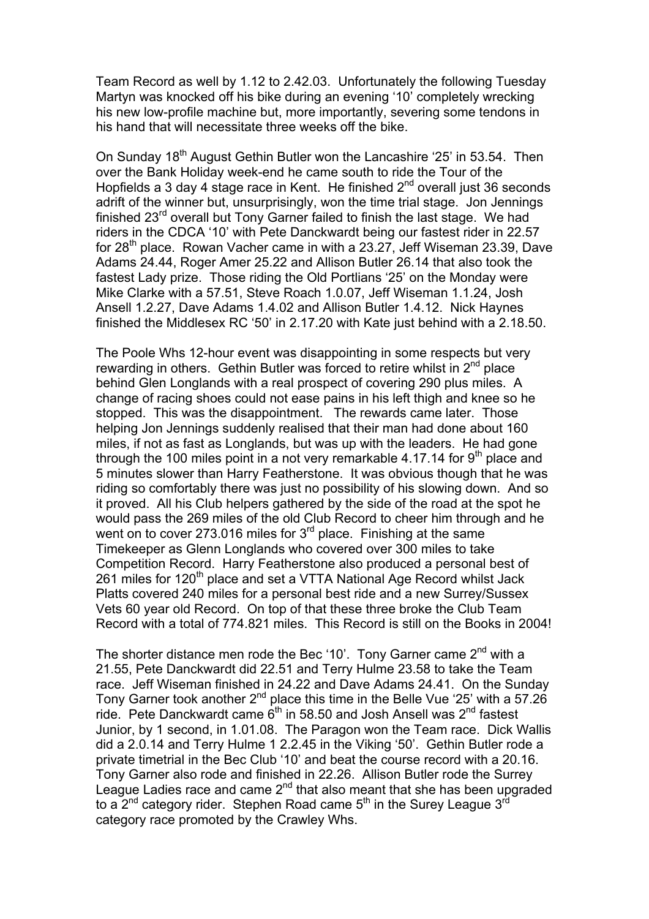Team Record as well by 1.12 to 2.42.03. Unfortunately the following Tuesday Martyn was knocked off his bike during an evening '10' completely wrecking his new low-profile machine but, more importantly, severing some tendons in his hand that will necessitate three weeks off the bike.

On Sunday 18<sup>th</sup> August Gethin Butler won the Lancashire '25' in 53.54. Then over the Bank Holiday week-end he came south to ride the Tour of the Hopfields a 3 day 4 stage race in Kent. He finished  $2^{nd}$  overall just 36 seconds adrift of the winner but, unsurprisingly, won the time trial stage. Jon Jennings finished 23<sup>rd</sup> overall but Tony Garner failed to finish the last stage. We had riders in the CDCA '10' with Pete Danckwardt being our fastest rider in 22.57 for  $28<sup>th</sup>$  place. Rowan Vacher came in with a 23.27, Jeff Wiseman 23.39, Dave Adams 24.44, Roger Amer 25.22 and Allison Butler 26.14 that also took the fastest Lady prize. Those riding the Old Portlians '25' on the Monday were Mike Clarke with a 57.51, Steve Roach 1.0.07, Jeff Wiseman 1.1.24, Josh Ansell 1.2.27, Dave Adams 1.4.02 and Allison Butler 1.4.12. Nick Haynes finished the Middlesex RC '50' in 2.17.20 with Kate just behind with a 2.18.50.

The Poole Whs 12-hour event was disappointing in some respects but very rewarding in others. Gethin Butler was forced to retire whilst in  $2<sup>nd</sup>$  place behind Glen Longlands with a real prospect of covering 290 plus miles. A change of racing shoes could not ease pains in his left thigh and knee so he stopped. This was the disappointment. The rewards came later. Those helping Jon Jennings suddenly realised that their man had done about 160 miles, if not as fast as Longlands, but was up with the leaders. He had gone through the 100 miles point in a not very remarkable 4.17.14 for  $9<sup>th</sup>$  place and 5 minutes slower than Harry Featherstone. It was obvious though that he was riding so comfortably there was just no possibility of his slowing down. And so it proved. All his Club helpers gathered by the side of the road at the spot he would pass the 269 miles of the old Club Record to cheer him through and he went on to cover 273.016 miles for 3<sup>rd</sup> place. Finishing at the same Timekeeper as Glenn Longlands who covered over 300 miles to take Competition Record. Harry Featherstone also produced a personal best of 261 miles for 120<sup>th</sup> place and set a VTTA National Age Record whilst Jack Platts covered 240 miles for a personal best ride and a new Surrey/Sussex Vets 60 year old Record. On top of that these three broke the Club Team Record with a total of 774.821 miles. This Record is still on the Books in 2004!

The shorter distance men rode the Bec '10'. Tony Garner came  $2^{nd}$  with a 21.55, Pete Danckwardt did 22.51 and Terry Hulme 23.58 to take the Team race. Jeff Wiseman finished in 24.22 and Dave Adams 24.41. On the Sunday Tony Garner took another  $2^{nd}$  place this time in the Belle Vue '25' with a 57.26 ride. Pete Danckwardt came  $6<sup>th</sup>$  in 58.50 and Josh Ansell was  $2<sup>nd</sup>$  fastest Junior, by 1 second, in 1.01.08. The Paragon won the Team race. Dick Wallis did a 2.0.14 and Terry Hulme 1 2.2.45 in the Viking '50'. Gethin Butler rode a private timetrial in the Bec Club '10' and beat the course record with a 20.16. Tony Garner also rode and finished in 22.26. Allison Butler rode the Surrey League Ladies race and came  $2^{nd}$  that also meant that she has been upgraded to a  $2^{nd}$  category rider. Stephen Road came  $5^{th}$  in the Surey League  $3^{rd}$ category race promoted by the Crawley Whs.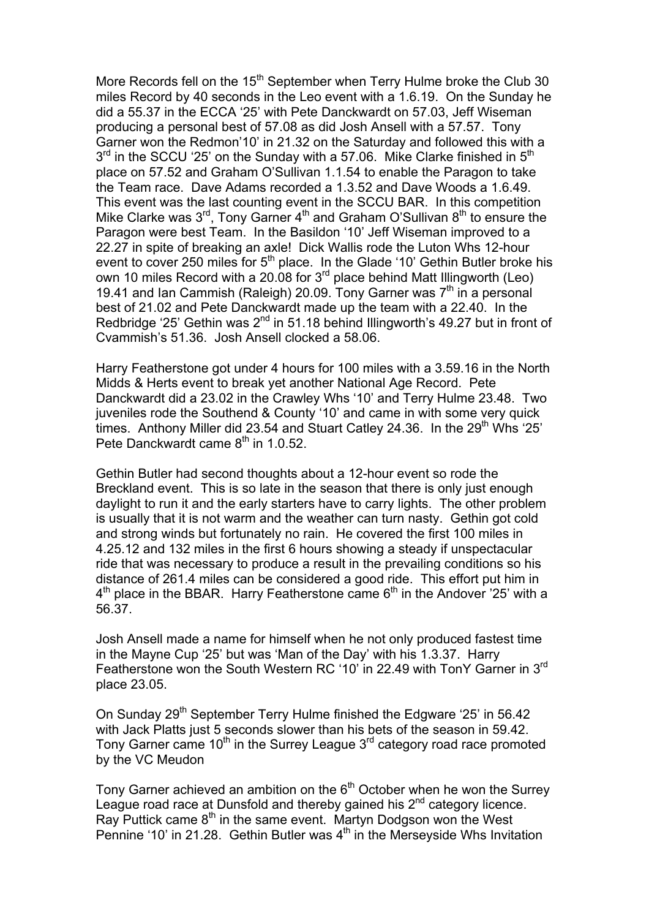More Records fell on the 15<sup>th</sup> September when Terry Hulme broke the Club 30 miles Record by 40 seconds in the Leo event with a 1.6.19. On the Sunday he did a 55.37 in the ECCA '25' with Pete Danckwardt on 57.03, Jeff Wiseman producing a personal best of 57.08 as did Josh Ansell with a 57.57. Tony Garner won the Redmon'10' in 21.32 on the Saturday and followed this with a  $3<sup>rd</sup>$  in the SCCU '25' on the Sunday with a 57.06. Mike Clarke finished in  $5<sup>th</sup>$ place on 57.52 and Graham O'Sullivan 1.1.54 to enable the Paragon to take the Team race. Dave Adams recorded a 1.3.52 and Dave Woods a 1.6.49. This event was the last counting event in the SCCU BAR. In this competition Mike Clarke was  $3^{rd}$ , Tony Garner  $4^{th}$  and Graham O'Sullivan  $8^{th}$  to ensure the Paragon were best Team. In the Basildon '10' Jeff Wiseman improved to a 22.27 in spite of breaking an axle! Dick Wallis rode the Luton Whs 12-hour event to cover 250 miles for  $5<sup>th</sup>$  place. In the Glade '10' Gethin Butler broke his own 10 miles Record with a 20.08 for 3rd place behind Matt Illingworth (Leo) 19.41 and Ian Cammish (Raleigh) 20.09. Tony Garner was  $7<sup>th</sup>$  in a personal best of 21.02 and Pete Danckwardt made up the team with a 22.40. In the Redbridge '25' Gethin was  $2^{nd}$  in 51.18 behind Illingworth's 49.27 but in front of Cvammish's 51.36. Josh Ansell clocked a 58.06.

Harry Featherstone got under 4 hours for 100 miles with a 3.59.16 in the North Midds & Herts event to break yet another National Age Record. Pete Danckwardt did a 23.02 in the Crawley Whs '10' and Terry Hulme 23.48. Two juveniles rode the Southend & County '10' and came in with some very quick times. Anthony Miller did 23.54 and Stuart Catley 24.36. In the  $29<sup>th</sup>$  Whs '25' Pete Danckwardt came  $8<sup>th</sup>$  in 1.0.52.

Gethin Butler had second thoughts about a 12-hour event so rode the Breckland event. This is so late in the season that there is only just enough daylight to run it and the early starters have to carry lights. The other problem is usually that it is not warm and the weather can turn nasty. Gethin got cold and strong winds but fortunately no rain. He covered the first 100 miles in 4.25.12 and 132 miles in the first 6 hours showing a steady if unspectacular ride that was necessary to produce a result in the prevailing conditions so his distance of 261.4 miles can be considered a good ride. This effort put him in  $4<sup>th</sup>$  place in the BBAR. Harry Featherstone came  $6<sup>th</sup>$  in the Andover '25' with a 56.37.

Josh Ansell made a name for himself when he not only produced fastest time in the Mayne Cup '25' but was 'Man of the Day' with his 1.3.37. Harry Featherstone won the South Western RC '10' in 22.49 with TonY Garner in 3<sup>rd</sup> place 23.05.

On Sunday 29<sup>th</sup> September Terry Hulme finished the Edgware '25' in 56.42 with Jack Platts just 5 seconds slower than his bets of the season in 59.42. Tony Garner came  $10<sup>th</sup>$  in the Surrey League  $3<sup>rd</sup>$  category road race promoted by the VC Meudon

Tony Garner achieved an ambition on the  $6<sup>th</sup>$  October when he won the Surrey League road race at Dunsfold and thereby gained his  $2<sup>nd</sup>$  category licence. Ray Puttick came 8<sup>th</sup> in the same event. Martyn Dodgson won the West Pennine '10' in 21.28. Gethin Butler was 4<sup>th</sup> in the Merseyside Whs Invitation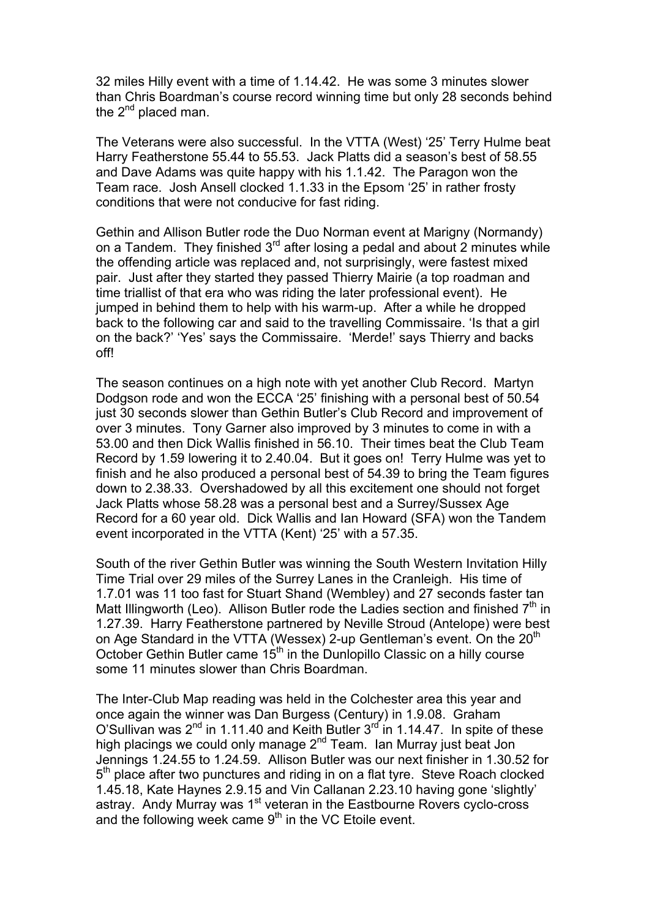32 miles Hilly event with a time of 1.14.42. He was some 3 minutes slower than Chris Boardman's course record winning time but only 28 seconds behind the  $2^{nd}$  placed man.

The Veterans were also successful. In the VTTA (West) '25' Terry Hulme beat Harry Featherstone 55.44 to 55.53. Jack Platts did a season's best of 58.55 and Dave Adams was quite happy with his 1.1.42. The Paragon won the Team race. Josh Ansell clocked 1.1.33 in the Epsom '25' in rather frosty conditions that were not conducive for fast riding.

Gethin and Allison Butler rode the Duo Norman event at Marigny (Normandy) on a Tandem. They finished  $3<sup>rd</sup>$  after losing a pedal and about 2 minutes while the offending article was replaced and, not surprisingly, were fastest mixed pair. Just after they started they passed Thierry Mairie (a top roadman and time triallist of that era who was riding the later professional event). He jumped in behind them to help with his warm-up. After a while he dropped back to the following car and said to the travelling Commissaire. 'Is that a girl on the back?' 'Yes' says the Commissaire. 'Merde!' says Thierry and backs off!

The season continues on a high note with yet another Club Record. Martyn Dodgson rode and won the ECCA '25' finishing with a personal best of 50.54 just 30 seconds slower than Gethin Butler's Club Record and improvement of over 3 minutes. Tony Garner also improved by 3 minutes to come in with a 53.00 and then Dick Wallis finished in 56.10. Their times beat the Club Team Record by 1.59 lowering it to 2.40.04. But it goes on! Terry Hulme was yet to finish and he also produced a personal best of 54.39 to bring the Team figures down to 2.38.33. Overshadowed by all this excitement one should not forget Jack Platts whose 58.28 was a personal best and a Surrey/Sussex Age Record for a 60 year old. Dick Wallis and Ian Howard (SFA) won the Tandem event incorporated in the VTTA (Kent) '25' with a 57.35.

South of the river Gethin Butler was winning the South Western Invitation Hilly Time Trial over 29 miles of the Surrey Lanes in the Cranleigh. His time of 1.7.01 was 11 too fast for Stuart Shand (Wembley) and 27 seconds faster tan Matt Illingworth (Leo). Allison Butler rode the Ladies section and finished  $7<sup>th</sup>$  in 1.27.39. Harry Featherstone partnered by Neville Stroud (Antelope) were best on Age Standard in the VTTA (Wessex) 2-up Gentleman's event. On the 20<sup>th</sup> October Gethin Butler came 15<sup>th</sup> in the Dunlopillo Classic on a hilly course some 11 minutes slower than Chris Boardman.

The Inter-Club Map reading was held in the Colchester area this year and once again the winner was Dan Burgess (Century) in 1.9.08. Graham O'Sullivan was  $2^{nd}$  in 1.11.40 and Keith Butler  $3^{rd}$  in 1.14.47. In spite of these high placings we could only manage 2<sup>nd</sup> Team. Ian Murray just beat Jon Jennings 1.24.55 to 1.24.59. Allison Butler was our next finisher in 1.30.52 for 5<sup>th</sup> place after two punctures and riding in on a flat tyre. Steve Roach clocked 1.45.18, Kate Haynes 2.9.15 and Vin Callanan 2.23.10 having gone 'slightly' astray. Andy Murray was 1<sup>st</sup> veteran in the Eastbourne Rovers cyclo-cross and the following week came  $9<sup>th</sup>$  in the VC Etoile event.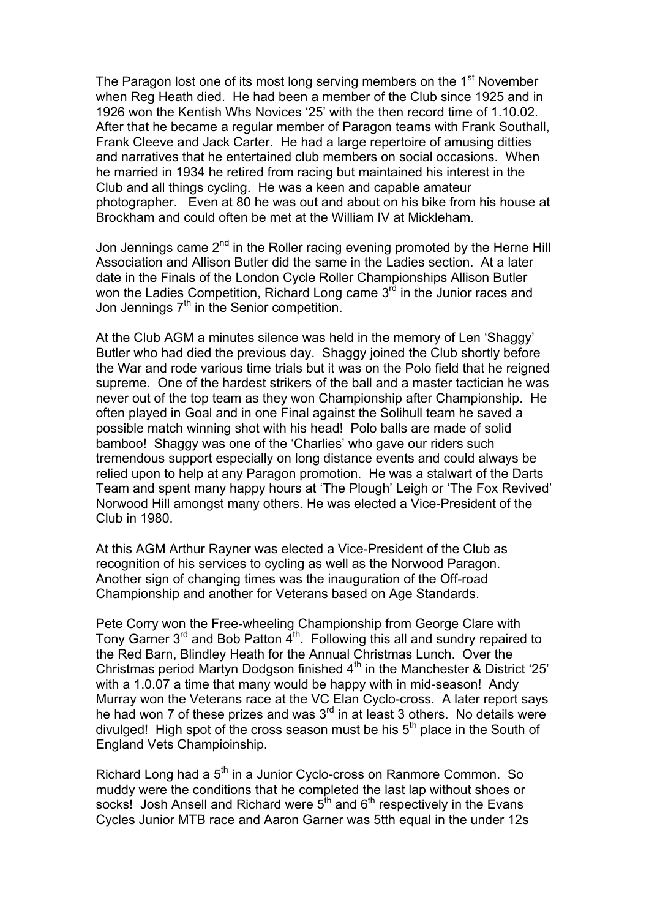The Paragon lost one of its most long serving members on the 1<sup>st</sup> November when Reg Heath died. He had been a member of the Club since 1925 and in 1926 won the Kentish Whs Novices '25' with the then record time of 1.10.02. After that he became a regular member of Paragon teams with Frank Southall, Frank Cleeve and Jack Carter. He had a large repertoire of amusing ditties and narratives that he entertained club members on social occasions. When he married in 1934 he retired from racing but maintained his interest in the Club and all things cycling. He was a keen and capable amateur photographer. Even at 80 he was out and about on his bike from his house at Brockham and could often be met at the William IV at Mickleham.

Jon Jennings came  $2<sup>nd</sup>$  in the Roller racing evening promoted by the Herne Hill Association and Allison Butler did the same in the Ladies section. At a later date in the Finals of the London Cycle Roller Championships Allison Butler won the Ladies Competition, Richard Long came 3<sup>rd</sup> in the Junior races and Jon Jennings 7<sup>th</sup> in the Senior competition.

At the Club AGM a minutes silence was held in the memory of Len 'Shaggy' Butler who had died the previous day. Shaggy joined the Club shortly before the War and rode various time trials but it was on the Polo field that he reigned supreme. One of the hardest strikers of the ball and a master tactician he was never out of the top team as they won Championship after Championship. He often played in Goal and in one Final against the Solihull team he saved a possible match winning shot with his head! Polo balls are made of solid bamboo! Shaggy was one of the 'Charlies' who gave our riders such tremendous support especially on long distance events and could always be relied upon to help at any Paragon promotion. He was a stalwart of the Darts Team and spent many happy hours at 'The Plough' Leigh or 'The Fox Revived' Norwood Hill amongst many others. He was elected a Vice-President of the Club in 1980.

At this AGM Arthur Rayner was elected a Vice-President of the Club as recognition of his services to cycling as well as the Norwood Paragon. Another sign of changing times was the inauguration of the Off-road Championship and another for Veterans based on Age Standards.

Pete Corry won the Free-wheeling Championship from George Clare with Tony Garner  $3^{rd}$  and Bob Patton  $4^{th}$ . Following this all and sundry repaired to the Red Barn, Blindley Heath for the Annual Christmas Lunch. Over the Christmas period Martyn Dodgson finished  $4<sup>th</sup>$  in the Manchester & District '25' with a 1.0.07 a time that many would be happy with in mid-season! Andy Murray won the Veterans race at the VC Elan Cyclo-cross. A later report says he had won 7 of these prizes and was  $3<sup>rd</sup>$  in at least 3 others. No details were divulged! High spot of the cross season must be his  $5<sup>th</sup>$  place in the South of England Vets Champioinship.

Richard Long had a 5<sup>th</sup> in a Junior Cyclo-cross on Ranmore Common. So muddy were the conditions that he completed the last lap without shoes or socks! Josh Ansell and Richard were  $5<sup>th</sup>$  and  $6<sup>th</sup>$  respectively in the Evans Cycles Junior MTB race and Aaron Garner was 5tth equal in the under 12s